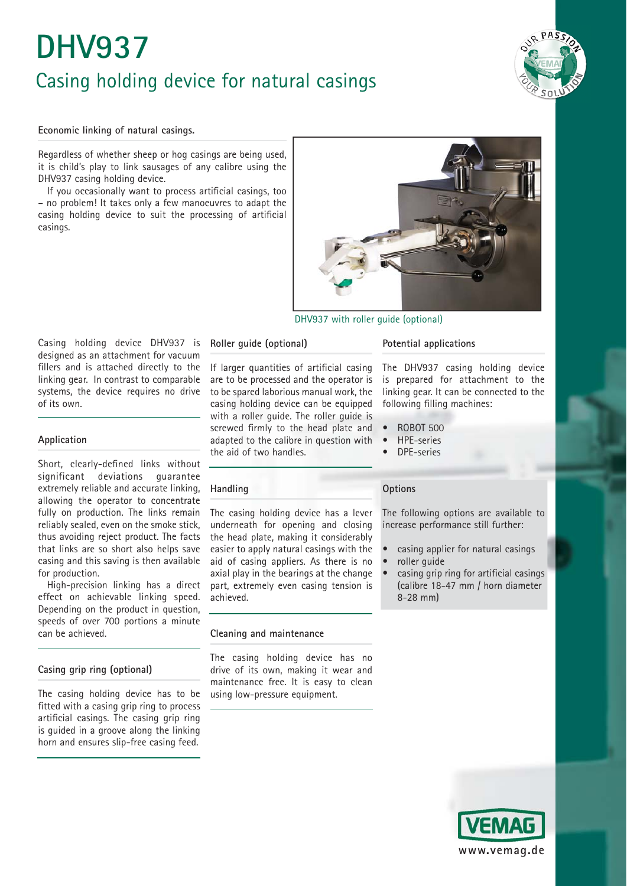# **DHV937** Casing holding device for natural casings



#### **Economic linking of natural casings.**

Regardless of whether sheep or hog casings are being used, it is child's play to link sausages of any calibre using the DHV937 casing holding device.

If you occasionally want to process artificial casings, too – no problem! It takes only a few manoeuvres to adapt the casing holding device to suit the processing of artificial casings.



### DHV937 with roller guide (optional)

Casing holding device DHV937 is designed as an attachment for vacuum fillers and is attached directly to the linking gear. In contrast to comparable systems, the device requires no drive of its own.

#### **Application**

Short, clearly-defined links without significant deviations guarantee extremely reliable and accurate linking, allowing the operator to concentrate fully on production. The links remain reliably sealed, even on the smoke stick, thus avoiding reject product. The facts that links are so short also helps save casing and this saving is then available for production.

High-precision linking has a direct effect on achievable linking speed. Depending on the product in question, speeds of over 700 portions a minute can be achieved.

# **Casing grip ring (optional)**

The casing holding device has to be fitted with a casing grip ring to process artificial casings. The casing grip ring is guided in a groove along the linking horn and ensures slip-free casing feed.

# **Roller guide (optional)**

If larger quantities of artificial casing are to be processed and the operator is to be spared laborious manual work, the casing holding device can be equipped with a roller guide. The roller guide is screwed firmly to the head plate and adapted to the calibre in question with the aid of two handles.

# **Handling**

The casing holding device has a lever underneath for opening and closing the head plate, making it considerably easier to apply natural casings with the aid of casing appliers. As there is no axial play in the bearings at the change part, extremely even casing tension is achieved.

#### **Cleaning and maintenance**

The casing holding device has no drive of its own, making it wear and maintenance free. It is easy to clean using low-pressure equipment.

#### **Potential applications**

The DHV937 casing holding device is prepared for attachment to the linking gear. It can be connected to the following filling machines:

- ROBOT 500
- HPE-series
- DPE-series

# **Options**

The following options are available to increase performance still further:

- casing applier for natural casings
- roller quide
- casing grip ring for artificial casings (calibre 18-47 mm / horn diameter 8-28 mm)